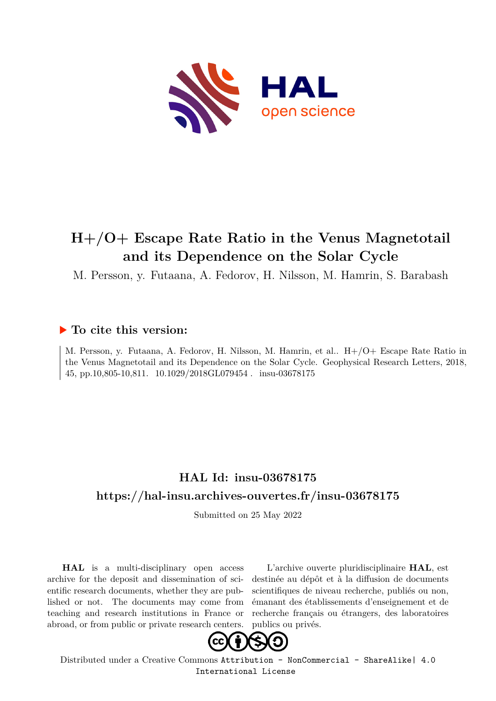

# **H+/O+ Escape Rate Ratio in the Venus Magnetotail and its Dependence on the Solar Cycle**

M. Persson, y. Futaana, A. Fedorov, H. Nilsson, M. Hamrin, S. Barabash

## **To cite this version:**

M. Persson, y. Futaana, A. Fedorov, H. Nilsson, M. Hamrin, et al.. H+/O+ Escape Rate Ratio in the Venus Magnetotail and its Dependence on the Solar Cycle. Geophysical Research Letters, 2018, 45, pp.10,805-10,811.  $10.1029/2018$ GL079454. insu-03678175

# **HAL Id: insu-03678175 <https://hal-insu.archives-ouvertes.fr/insu-03678175>**

Submitted on 25 May 2022

**HAL** is a multi-disciplinary open access archive for the deposit and dissemination of scientific research documents, whether they are published or not. The documents may come from teaching and research institutions in France or abroad, or from public or private research centers.

L'archive ouverte pluridisciplinaire **HAL**, est destinée au dépôt et à la diffusion de documents scientifiques de niveau recherche, publiés ou non, émanant des établissements d'enseignement et de recherche français ou étrangers, des laboratoires publics ou privés.



Distributed under a Creative Commons [Attribution - NonCommercial - ShareAlike| 4.0](http://creativecommons.org/licenses/by-nc-sa/4.0/) [International License](http://creativecommons.org/licenses/by-nc-sa/4.0/)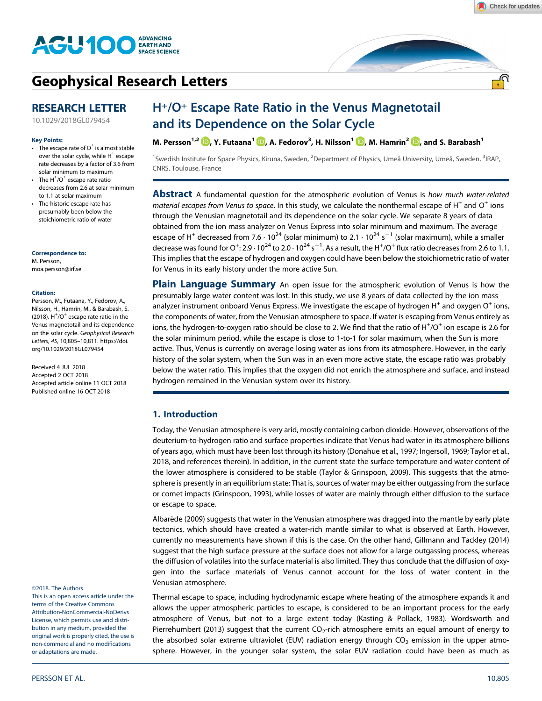

## **[Geophysical Research Letters](http://onlinelibrary.wiley.com/journal/10.1002/(ISSN)1944-8007)**

## **RESEARCH LETTER**

[10.1029/2018GL079454](http://dx.doi.org/10.1029/2018GL079454)

#### **Key Points:**

- $\cdot$  The escape rate of O<sup>+</sup> is almost stable over the solar cycle, while  $H^+$  escape rate decreases by a factor of 3.6 from solar minimum to maximum
- The  $H^+/O^+$  escape rate ratio decreases from 2.6 at solar minimum to 1.1 at solar maximum
- The historic escape rate has presumably been below the stoichiometric ratio of water

**Correspondence to:** M. Persson,

[moa.persson@irf.se](mailto:moa.persson@irf.se)

#### **Citation:**

Persson, M., Futaana, Y., Fedorov, A., Nilsson, H., Hamrin, M., & Barabash, S.  $(2018)$ . H $<sup>+</sup>/O<sup>+</sup>$  escape rate ratio in the</sup> Venus magnetotail and its dependence on the solar cycle. *Geophysical Research Letters*, *45*, 10,805–10,811. [https://doi.](https://doi.org/10.1029/2018GL079454) [org/10.1029/2018GL079454](https://doi.org/10.1029/2018GL079454)

Received 4 JUL 2018 Accepted 2 OCT 2018 Accepted article online 11 OCT 2018 Published online 16 OCT 2018

©2018. The Authors.

This is an open access article under the terms of the Creative Commons Attribution-NonCommercial-NoDerivs License, which permits use and distribution in any medium, provided the original work is properly cited, the use is non-commercial and no modifications or adaptations are made.

## H+/O+ Escape Rate Ratio in the Venus Magnetotail and its Dependence on the Solar Cycle

**M. Persson1,2 , Y. Futaana<sup>1</sup> [,](http://orcid.org/0000-0002-7056-3517) A. Fedorov<sup>3</sup> , H. Nilsson<sup>1</sup> , M. Hamrin2 , and S. Barabash<sup>1</sup>**

<sup>1</sup>Swedish Institute for Space Physics, Kiruna, Sweden, <sup>2</sup>Department of Physics, Umeå University, Umeå, Sweden, <sup>3</sup>IRAP, CNRS, Toulouse, France

**Abstract** A fundamental question for the atmospheric evolution of Venus is *how much water-related material escapes from Venus to space*. In this study, we calculate the nonthermal escape of H<sup>+</sup> and O<sup>+</sup> ions through the Venusian magnetotail and its dependence on the solar cycle. We separate 8 years of data obtained from the ion mass analyzer on Venus Express into solar minimum and maximum. The average escape of H<sup>+</sup> decreased from 7.6  $\cdot$  10<sup>24</sup> (solar minimum) to 2.1  $\cdot$  10<sup>24</sup> s<sup>-1</sup> (solar maximum), while a smaller decrease was found for O<sup>+</sup>: 2.9  $\cdot$  10<sup>24</sup> to 2.0  $\cdot$  10<sup>24</sup> s $^{-1}$ . As a result, the H<sup>+</sup>/O<sup>+</sup> flux ratio decreases from 2.6 to 1.1. This implies that the escape of hydrogen and oxygen could have been below the stoichiometric ratio of water for Venus in its early history under the more active Sun.

**Plain Language Summary** An open issue for the atmospheric evolution of Venus is how the presumably large water content was lost. In this study, we use 8 years of data collected by the ion mass analyzer instrument onboard Venus Express. We investigate the escape of hydrogen  $H^+$  and oxygen O<sup>+</sup> ions, the components of water, from the Venusian atmosphere to space. If water is escaping from Venus entirely as ions, the hydrogen-to-oxygen ratio should be close to 2. We find that the ratio of H $^+$ /O $^+$  ion escape is 2.6 for the solar minimum period, while the escape is close to 1-to-1 for solar maximum, when the Sun is more active. Thus, Venus is currently on average losing water as ions from its atmosphere. However, in the early history of the solar system, when the Sun was in an even more active state, the escape ratio was probably below the water ratio. This implies that the oxygen did not enrich the atmosphere and surface, and instead hydrogen remained in the Venusian system over its history.

## **1. Introduction**

Today, the Venusian atmosphere is very arid, mostly containing carbon dioxide. However, observations of the deuterium-to-hydrogen ratio and surface properties indicate that Venus had water in its atmosphere billions of years ago, which must have been lost through its history (Donahue et al., 1997; Ingersoll, 1969; Taylor et al., 2018, and references therein). In addition, in the current state the surface temperature and water content of the lower atmosphere is considered to be stable (Taylor & Grinspoon, 2009). This suggests that the atmosphere is presently in an equilibrium state: That is, sources of water may be either outgassing from the surface or comet impacts (Grinspoon, 1993), while losses of water are mainly through either diffusion to the surface or escape to space.

Albarède (2009) suggests that water in the Venusian atmosphere was dragged into the mantle by early plate tectonics, which should have created a water-rich mantle similar to what is observed at Earth. However, currently no measurements have shown if this is the case. On the other hand, Gillmann and Tackley (2014) suggest that the high surface pressure at the surface does not allow for a large outgassing process, whereas the diffusion of volatiles into the surface material is also limited. They thus conclude that the diffusion of oxygen into the surface materials of Venus cannot account for the loss of water content in the Venusian atmosphere.

Thermal escape to space, including hydrodynamic escape where heating of the atmosphere expands it and allows the upper atmospheric particles to escape, is considered to be an important process for the early atmosphere of Venus, but not to a large extent today (Kasting & Pollack, 1983). Wordsworth and Pierrehumbert (2013) suggest that the current  $CO<sub>2</sub>$ -rich atmosphere emits an equal amount of energy to the absorbed solar extreme ultraviolet (EUV) radiation energy through  $CO<sub>2</sub>$  emission in the upper atmosphere. However, in the younger solar system, the solar EUV radiation could have been as much as

<u>.എ</u>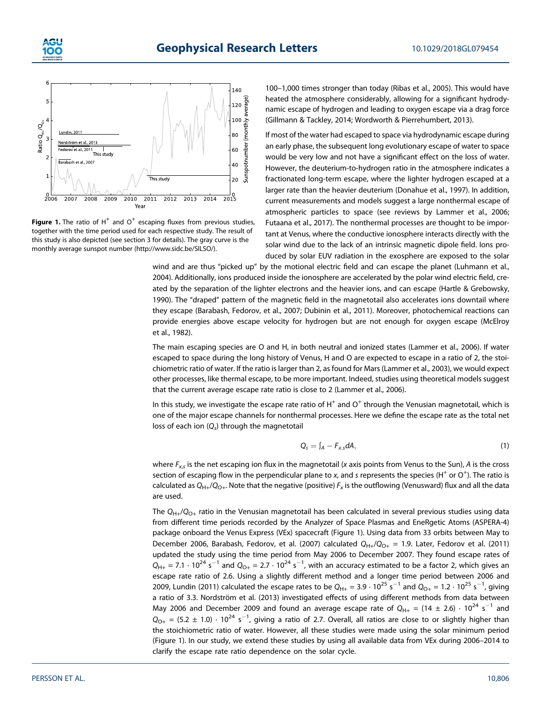



**Figure 1.** The ratio of  $H^+$  and  $O^+$  escaping fluxes from previous studies, together with the time period used for each respective study. The result of this study is also depicted (see section 3 for details). The gray curve is the monthly average sunspot number [\(http://www.sidc.be/SILSO/](http://www.sidc.be/SILSO/)).

100–1,000 times stronger than today (Ribas et al., 2005). This would have heated the atmosphere considerably, allowing for a significant hydrodynamic escape of hydrogen and leading to oxygen escape via a drag force (Gillmann & Tackley, 2014; Wordworth & Pierrehumbert, 2013).

If most of the water had escaped to space via hydrodynamic escape during an early phase, the subsequent long evolutionary escape of water to space would be very low and not have a significant effect on the loss of water. However, the deuterium-to-hydrogen ratio in the atmosphere indicates a fractionated long-term escape, where the lighter hydrogen escaped at a larger rate than the heavier deuterium (Donahue et al., 1997). In addition, current measurements and models suggest a large nonthermal escape of atmospheric particles to space (see reviews by Lammer et al., 2006; Futaana et al., 2017). The nonthermal processes are thought to be important at Venus, where the conductive ionosphere interacts directly with the solar wind due to the lack of an intrinsic magnetic dipole field. Ions produced by solar EUV radiation in the exosphere are exposed to the solar

wind and are thus "picked up" by the motional electric field and can escape the planet (Luhmann et al., 2004). Additionally, ions produced inside the ionosphere are accelerated by the polar wind electric field, created by the separation of the lighter electrons and the heavier ions, and can escape (Hartle & Grebowsky, 1990). The "draped" pattern of the magnetic field in the magnetotail also accelerates ions downtail where they escape (Barabash, Fedorov, et al., 2007; Dubinin et al., 2011). Moreover, photochemical reactions can provide energies above escape velocity for hydrogen but are not enough for oxygen escape (McElroy et al., 1982).

The main escaping species are O and H, in both neutral and ionized states (Lammer et al., 2006). If water escaped to space during the long history of Venus, H and O are expected to escape in a ratio of 2, the stoichiometric ratio of water. If the ratio is larger than 2, as found for Mars (Lammer et al., 2003), we would expect other processes, like thermal escape, to be more important. Indeed, studies using theoretical models suggest that the current average escape rate ratio is close to 2 (Lammer et al., 2006).

In this study, we investigate the escape rate ratio of  $H^+$  and  $O^+$  through the Venusian magnetotail, which is one of the major escape channels for nonthermal processes. Here we define the escape rate as the total net loss of each ion (*Qs*) through the magnetotail

$$
Q_s = \int_A -F_{x,s}dA,\tag{1}
$$

where *Fx*,*<sup>s</sup>* is the net escaping ion flux in the magnetotail (*x* axis points from Venus to the Sun), *A* is the cross section of escaping flow in the perpendicular plane to *x*, and *s* represents the species (H<sup>+</sup> or O<sup>+</sup>). The ratio is calculated as  $Q_{H+}/Q_{O+}$ . Note that the negative (positive)  $F_x$  is the outflowing (Venusward) flux and all the data are used.

The *Q*H+/*Q*O+ ratio in the Venusian magnetotail has been calculated in several previous studies using data from different time periods recorded by the Analyzer of Space Plasmas and EneRgetic Atoms (ASPERA-4) package onboard the Venus Express (VEx) spacecraft (Figure 1). Using data from 33 orbits between May to December 2006, Barabash, Fedorov, et al. (2007) calculated *Q*H+/*Q*O+ = 1.9. Later, Fedorov et al. (2011) updated the study using the time period from May 2006 to December 2007. They found escape rates of  $Q_{H+}$  = 7.1  $\cdot$  10<sup>24</sup> s<sup>-1</sup> and  $Q_{O+}$  = 2.7  $\cdot$  10<sup>24</sup> s<sup>-1</sup>, with an accuracy estimated to be a factor 2, which gives an escape rate ratio of 2.6. Using a slightly different method and a longer time period between 2006 and 2009, Lundin (2011) calculated the escape rates to be  $Q_{H+} = 3.9 \cdot 10^{25} \text{ s}^{-1}$  and  $Q_{O+} = 1.2 \cdot 10^{25} \text{ s}^{-1}$ , giving a ratio of 3.3. Nordström et al. (2013) investigated effects of using different methods from data between May 2006 and December 2009 and found an average escape rate of  $Q_{H+} = (14 \pm 2.6) \cdot 10^{24} \text{ s}^{-1}$  and  $Q_{O+}$  = (5.2  $\pm$  1.0)  $\cdot$  10<sup>24</sup> s<sup>-1</sup>, giving a ratio of 2.7. Overall, all ratios are close to or slightly higher than the stoichiometric ratio of water. However, all these studies were made using the solar minimum period (Figure 1). In our study, we extend these studies by using all available data from VEx during 2006–2014 to clarify the escape rate ratio dependence on the solar cycle.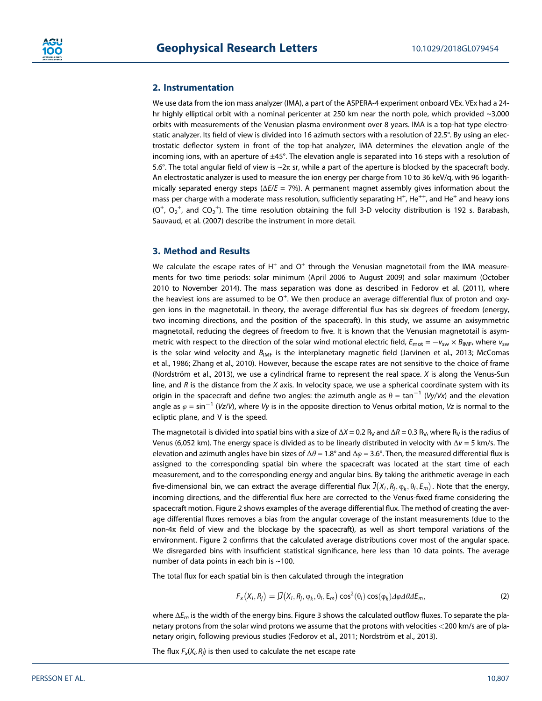### **2. Instrumentation**

We use data from the ion mass analyzer (IMA), a part of the ASPERA-4 experiment onboard VEx. VEx had a 24 hr highly elliptical orbit with a nominal pericenter at 250 km near the north pole, which provided ~3,000 orbits with measurements of the Venusian plasma environment over 8 years. IMA is a top-hat type electrostatic analyzer. Its field of view is divided into 16 azimuth sectors with a resolution of 22.5°. By using an electrostatic deflector system in front of the top-hat analyzer, IMA determines the elevation angle of the incoming ions, with an aperture of ±45°. The elevation angle is separated into 16 steps with a resolution of 5.6°. The total angular field of view is  $\sim$ 2π sr, while a part of the aperture is blocked by the spacecraft body. An electrostatic analyzer is used to measure the ion energy per charge from 10 to 36 keV/q, with 96 logarithmically separated energy steps (Δ*E*/*E* = 7%). A permanent magnet assembly gives information about the mass per charge with a moderate mass resolution, sufficiently separating  $H^+$ , He<sup>++</sup>, and He<sup>+</sup> and heavy ions  $(O^+, O_2^+,$  and  $CO_2^+$ ). The time resolution obtaining the full 3-D velocity distribution is 192 s. Barabash, Sauvaud, et al. (2007) describe the instrument in more detail.

### **3. Method and Results**

We calculate the escape rates of  $H^+$  and  $O^+$  through the Venusian magnetotail from the IMA measurements for two time periods: solar minimum (April 2006 to August 2009) and solar maximum (October 2010 to November 2014). The mass separation was done as described in Fedorov et al. (2011), where the heaviest ions are assumed to be  $\overline{O^+}.$  We then produce an average differential flux of proton and oxygen ions in the magnetotail. In theory, the average differential flux has six degrees of freedom (energy, two incoming directions, and the position of the spacecraft). In this study, we assume an axisymmetric magnetotail, reducing the degrees of freedom to five. It is known that the Venusian magnetotail is asymmetric with respect to the direction of the solar wind motional electric field,  $E_{\text{mot}} = -v_{sw} \times B_{\text{IMF}}$ , where  $v_{sw}$ is the solar wind velocity and *B<sub>IMF</sub>* is the interplanetary magnetic field (Jarvinen et al., 2013; McComas et al., 1986; Zhang et al., 2010). However, because the escape rates are not sensitive to the choice of frame (Nordström et al., 2013), we use a cylindrical frame to represent the real space. *X* is along the Venus-Sun line, and *R* is the distance from the *X* axis. In velocity space, we use a spherical coordinate system with its origin in the spacecraft and define two angles: the azimuth angle as  $\theta = \tan^{-1} (Vy/Vx)$  and the elevation angle as  $\varphi = \sin^{-1}$  (*Vz*/*V*), where *Vy* is in the opposite direction to Venus orbital motion, *Vz* is normal to the ecliptic plane, and V is the speed.

The magnetotail is divided into spatial bins with a size of  $\Delta X$  = 0.2 R<sub>V</sub> and  $\Delta R$  = 0.3 R<sub>V</sub>, where R<sub>V</sub> is the radius of Venus (6,052 km). The energy space is divided as to be linearly distributed in velocity with Δ*v* = 5 km/s. The elevation and azimuth angles have bin sizes of Δ*θ* = 1.8° and Δ*φ* = 3.6°. Then, the measured differential flux is assigned to the corresponding spatial bin where the spacecraft was located at the start time of each measurement, and to the corresponding energy and angular bins. By taking the arithmetic average in each five-dimensional bin, we can extract the average differential flux  $\bar{J}(X_i,R_j,\phi_k,\theta_l,E_m)$  . Note that the energy, incoming directions, and the differential flux here are corrected to the Venus-fixed frame considering the spacecraft motion. Figure 2 shows examples of the average differential flux. The method of creating the average differential fluxes removes a bias from the angular coverage of the instant measurements (due to the non-4π field of view and the blockage by the spacecraft), as well as short temporal variations of the environment. Figure 2 confirms that the calculated average distributions cover most of the angular space. We disregarded bins with insufficient statistical significance, here less than 10 data points. The average number of data points in each bin is ~100.

The total flux for each spatial bin is then calculated through the integration

$$
F_x(X_i, R_j) = \mathcal{J}(X_i, R_j, \varphi_k, \theta_l, \mathsf{E}_m) \cos^2(\theta_l) \cos(\varphi_k) \mathcal{A} \varphi \mathcal{A} \theta \mathcal{A} \mathsf{E}_m, \tag{2}
$$

where Δ*Em* is the width of the energy bins. Figure 3 shows the calculated outflow fluxes. To separate the planetary protons from the solar wind protons we assume that the protons with velocities *<*200 km/s are of planetary origin, following previous studies (Fedorov et al., 2011; Nordström et al., 2013).

The flux  $F_x(X_i, R_j)$  is then used to calculate the net escape rate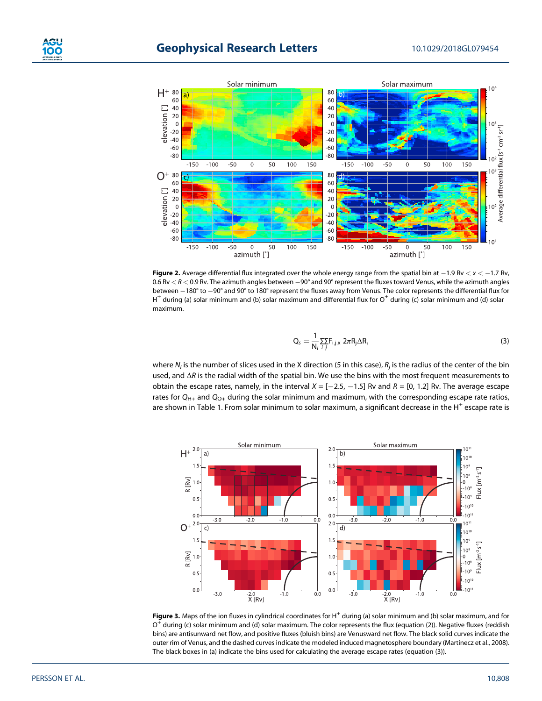

**Figure 2.** Average differential flux integrated over the whole energy range from the spatial bin at  $-1.9$  Rv  $<$   $x$   $<$   $-1.7$  Rv, 0.6 Rv  $<$  R  $<$  0.9 Rv. The azimuth angles between  $-90^\circ$  and 90° represent the fluxes toward Venus, while the azimuth angles between -180° to -90° and 90° to 180° represent the fluxes away from Venus. The color represents the differential flux for  $H^+$  during (a) solar minimum and (b) solar maximum and differential flux for  $O^+$  during (c) solar minimum and (d) solar maximum.

$$
Q_s = \frac{1}{N_i} \sum_{i,j} F_{i,j,x} 2\pi R_j \Delta R, \qquad (3)
$$

where *Ni* is the number of slices used in the X direction (5 in this case), *Rj* is the radius of the center of the bin used, and Δ*R* is the radial width of the spatial bin. We use the bins with the most frequent measurements to obtain the escape rates, namely, in the interval  $X = [-2.5, -1.5]$  Rv and  $R = [0, 1.2]$  Rv. The average escape rates for  $Q_{H+}$  and  $Q_{O+}$  during the solar minimum and maximum, with the corresponding escape rate ratios, are shown in Table 1. From solar minimum to solar maximum, a significant decrease in the H<sup>+</sup> escape rate is



**Figure 3.** Maps of the ion fluxes in cylindrical coordinates for H<sup>+</sup> during (a) solar minimum and (b) solar maximum, and for  $O<sup>+</sup>$  during (c) solar minimum and (d) solar maximum. The color represents the flux (equation (2)). Negative fluxes (reddish bins) are antisunward net flow, and positive fluxes (bluish bins) are Venusward net flow. The black solid curves indicate the outer rim of Venus, and the dashed curves indicate the modeled induced magnetosphere boundary (Martinecz et al., 2008). The black boxes in (a) indicate the bins used for calculating the average escape rates (equation (3)).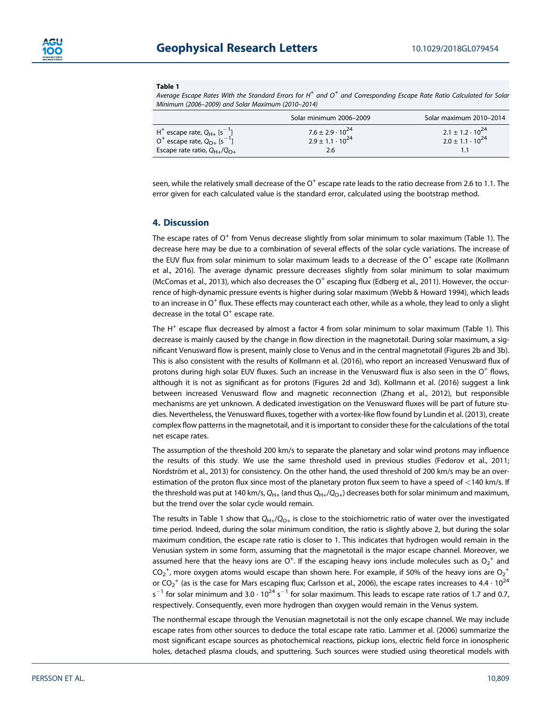

#### **Table 1**

*Average Escape Rates With the Standard Errors for H+ and O<sup>+</sup> and Corresponding Escape Rate Ratio Calculated for Solar Minimum (2006–2009) and Solar Maximum (2010–2014)*

|                                                                                                                                        | Solar minimum 2006-2009                                           | Solar maximum 2010-2014                                    |
|----------------------------------------------------------------------------------------------------------------------------------------|-------------------------------------------------------------------|------------------------------------------------------------|
| $H^+$ escape rate, $Q_{H+}$ [s <sup>-1</sup> ]<br>$0^+$ escape rate, $Q_{O+}$ [s <sup>-1</sup> ]<br>Escape rate ratio, $Q_{H+}/Q_{O+}$ | $7.6 \pm 2.9 \cdot 10^{24}$<br>$2.9 \pm 1.1 \cdot 10^{24}$<br>2.6 | $2.1 \pm 1.2 \cdot 10^{24}$<br>$2.0 \pm 1.1 \cdot 10^{24}$ |

seen, while the relatively small decrease of the  $O^+$  escape rate leads to the ratio decrease from 2.6 to 1.1. The error given for each calculated value is the standard error, calculated using the bootstrap method.

#### **4. Discussion**

The escape rates of  $O<sup>+</sup>$  from Venus decrease slightly from solar minimum to solar maximum (Table 1). The decrease here may be due to a combination of several effects of the solar cycle variations. The increase of the EUV flux from solar minimum to solar maximum leads to a decrease of the  $O^+$  escape rate (Kollmann et al., 2016). The average dynamic pressure decreases slightly from solar minimum to solar maximum (McComas et al., 2013), which also decreases the  $O<sup>+</sup>$  escaping flux (Edberg et al., 2011). However, the occurrence of high-dynamic pressure events is higher during solar maximum (Webb & Howard 1994), which leads to an increase in  $O^+$  flux. These effects may counteract each other, while as a whole, they lead to only a slight decrease in the total  $O<sup>+</sup>$  escape rate.

The  $H^+$  escape flux decreased by almost a factor 4 from solar minimum to solar maximum (Table 1). This decrease is mainly caused by the change in flow direction in the magnetotail. During solar maximum, a significant Venusward flow is present, mainly close to Venus and in the central magnetotail (Figures 2b and 3b). This is also consistent with the results of Kollmann et al. (2016), who report an increased Venusward flux of protons during high solar EUV fluxes. Such an increase in the Venusward flux is also seen in the  $O^+$  flows, although it is not as significant as for protons (Figures 2d and 3d). Kollmann et al. (2016) suggest a link between increased Venusward flow and magnetic reconnection (Zhang et al., 2012), but responsible mechanisms are yet unknown. A dedicated investigation on the Venusward fluxes will be part of future studies. Nevertheless, the Venusward fluxes, together with a vortex-like flow found by Lundin et al. (2013), create complex flow patterns in the magnetotail, and it is important to consider these for the calculations of the total net escape rates.

The assumption of the threshold 200 km/s to separate the planetary and solar wind protons may influence the results of this study. We use the same threshold used in previous studies (Fedorov et al., 2011; Nordström et al., 2013) for consistency. On the other hand, the used threshold of 200 km/s may be an overestimation of the proton flux since most of the planetary proton flux seem to have a speed of *<*140 km/s. If the threshold was put at 140 km/s,  $Q_{H+}$  (and thus  $Q_{H+}/Q_{O+}$ ) decreases both for solar minimum and maximum, but the trend over the solar cycle would remain.

The results in Table 1 show that  $Q_{H+}/Q_{O+}$  is close to the stoichiometric ratio of water over the investigated time period. Indeed, during the solar minimum condition, the ratio is slightly above 2, but during the solar maximum condition, the escape rate ratio is closer to 1. This indicates that hydrogen would remain in the Venusian system in some form, assuming that the magnetotail is the major escape channel. Moreover, we assumed here that the heavy ions are O<sup>+</sup>. If the escaping heavy ions include molecules such as O<sub>2</sub><sup>+</sup> and CO $_2^{\, +}$ , more oxygen atoms would escape than shown here. For example, if 50% of the heavy ions are O $_2^{\, +}$ or CO<sub>2</sub><sup>+</sup> (as is the case for Mars escaping flux; Carlsson et al., 2006), the escape rates increases to 4.4  $\cdot$  10<sup>24</sup> s<sup>-1</sup> for solar minimum and 3.0  $\cdot$  10<sup>24</sup> s<sup>-1</sup> for solar maximum. This leads to escape rate ratios of 1.7 and 0.7, respectively. Consequently, even more hydrogen than oxygen would remain in the Venus system.

The nonthermal escape through the Venusian magnetotail is not the only escape channel. We may include escape rates from other sources to deduce the total escape rate ratio. Lammer et al. (2006) summarize the most significant escape sources as photochemical reactions, pickup ions, electric field force in ionospheric holes, detached plasma clouds, and sputtering. Such sources were studied using theoretical models with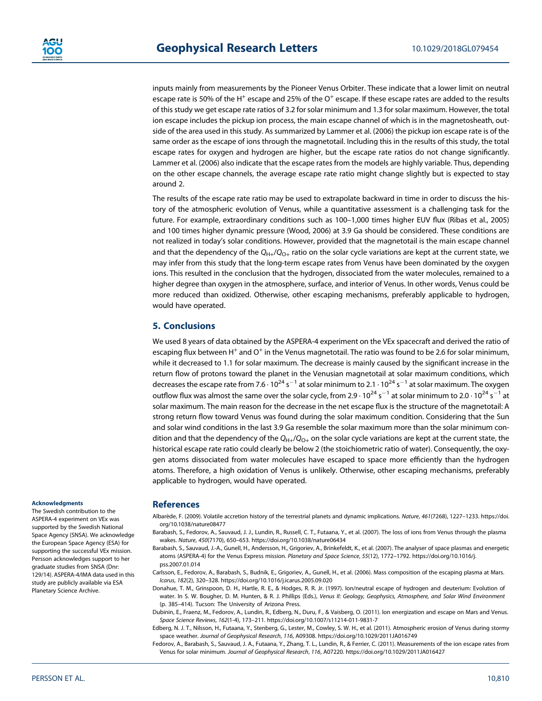inputs mainly from measurements by the Pioneer Venus Orbiter. These indicate that a lower limit on neutral escape rate is 50% of the H<sup>+</sup> escape and 25% of the O<sup>+</sup> escape. If these escape rates are added to the results of this study we get escape rate ratios of 3.2 for solar minimum and 1.3 for solar maximum. However, the total ion escape includes the pickup ion process, the main escape channel of which is in the magnetosheath, outside of the area used in this study. As summarized by Lammer et al. (2006) the pickup ion escape rate is of the same order as the escape of ions through the magnetotail. Including this in the results of this study, the total escape rates for oxygen and hydrogen are higher, but the escape rate ratios do not change significantly. Lammer et al. (2006) also indicate that the escape rates from the models are highly variable. Thus, depending on the other escape channels, the average escape rate ratio might change slightly but is expected to stay around 2.

The results of the escape rate ratio may be used to extrapolate backward in time in order to discuss the history of the atmospheric evolution of Venus, while a quantitative assessment is a challenging task for the future. For example, extraordinary conditions such as 100–1,000 times higher EUV flux (Ribas et al., 2005) and 100 times higher dynamic pressure (Wood, 2006) at 3.9 Ga should be considered. These conditions are not realized in today's solar conditions. However, provided that the magnetotail is the main escape channel and that the dependency of the  $Q_{H+}/Q_{O+}$  ratio on the solar cycle variations are kept at the current state, we may infer from this study that the long-term escape rates from Venus have been dominated by the oxygen ions. This resulted in the conclusion that the hydrogen, dissociated from the water molecules, remained to a higher degree than oxygen in the atmosphere, surface, and interior of Venus. In other words, Venus could be more reduced than oxidized. Otherwise, other escaping mechanisms, preferably applicable to hydrogen, would have operated.

## **5. Conclusions**

We used 8 years of data obtained by the ASPERA-4 experiment on the VEx spacecraft and derived the ratio of escaping flux between H<sup>+</sup> and  $O<sup>+</sup>$  in the Venus magnetotail. The ratio was found to be 2.6 for solar minimum, while it decreased to 1.1 for solar maximum. The decrease is mainly caused by the significant increase in the return flow of protons toward the planet in the Venusian magnetotail at solar maximum conditions, which decreases the escape rate from 7.6  $\cdot$  10 $^{24}$  s $^{-1}$  at solar minimum to 2.1  $\cdot$  10 $^{24}$  s $^{-1}$  at solar maximum. The oxygen outflow flux was almost the same over the solar cycle, from 2.9  $\cdot$  10<sup>24</sup> s $^{-1}$  at solar minimum to 2.0  $\cdot$  10<sup>24</sup> s $^{-1}$  at solar maximum. The main reason for the decrease in the net escape flux is the structure of the magnetotail: A strong return flow toward Venus was found during the solar maximum condition. Considering that the Sun and solar wind conditions in the last 3.9 Ga resemble the solar maximum more than the solar minimum condition and that the dependency of the *Q*H+/*Q*O+ on the solar cycle variations are kept at the current state, the historical escape rate ratio could clearly be below 2 (the stoichiometric ratio of water). Consequently, the oxygen atoms dissociated from water molecules have escaped to space more efficiently than the hydrogen atoms. Therefore, a high oxidation of Venus is unlikely. Otherwise, other escaping mechanisms, preferably applicable to hydrogen, would have operated.

#### **Acknowledgments**

The Swedish contribution to the ASPERA-4 experiment on VEx was supported by the Swedish National Space Agency (SNSA). We acknowledge the European Space Agency (ESA) for supporting the successful VEx mission. Persson acknowledges support to her graduate studies from SNSA (Dnr: 129/14). ASPERA-4/IMA data used in this study are publicly available via ESA Planetary Science Archive.

#### **References**

- Albarède, F. (2009). Volatile accretion history of the terrestrial planets and dynamic implications. *Nature*, *461*(7268), 1227–1233. [https://doi.](https://doi.org/10.1038/nature08477) [org/10.1038/nature08477](https://doi.org/10.1038/nature08477)
- Barabash, S., Fedorov, A., Sauvaud, J. J., Lundin, R., Russell, C. T., Futaana, Y., et al. (2007). The loss of ions from Venus through the plasma wakes. *Nature*, *450*(7170), 650–653.<https://doi.org/10.1038/nature06434>
- Barabash, S., Sauvaud, J.-A., Gunell, H., Andersson, H., Grigoriev, A., Brinkefeldt, K., et al. (2007). The analyser of space plasmas and energetic atoms (ASPERA-4) for the Venus Express mission. *Planetary and Space Science*, *55*(12), 1772–1792. [https://doi.org/10.1016/j.](https://doi.org/10.1016/j.pss.2007.01.014) [pss.2007.01.014](https://doi.org/10.1016/j.pss.2007.01.014)
- Carlsson, E., Fedorov, A., Barabash, S., Budnik, E., Grigoriev, A., Gunell, H., et al. (2006). Mass composition of the escaping plasma at Mars. *Icarus*, *182*(2), 320–328.<https://doi.org/10.1016/j.icarus.2005.09.020>
- Donahue, T. M., Grinspoon, D. H., Hartle, R. E., & Hodges, R. R. Jr. (1997). Ion/neutral escape of hydrogen and deuterium: Evolution of water. In S. W. Bougher, D. M. Hunten, & R. J. Phillips (Eds.), *Venus II: Geology, Geophysics, Atmosphere, and Solar Wind Environment* (p. 385–414). Tucson: The University of Arizona Press.
- Dubinin, E., Fraenz, M., Fedorov, A., Lundin, R., Edberg, N., Duru, F., & Vaisberg, O. (2011). Ion energization and escape on Mars and Venus. *Space Science Reviews*, *162*(1-4), 173–211.<https://doi.org/10.1007/s11214-011-9831-7>
- Edberg, N. J. T., Nilsson, H., Futaana, Y., Stenberg, G., Lester, M., Cowley, S. W. H., et al. (2011). Atmospheric erosion of Venus during stormy space weather. *Journal of Geophysical Research*, *116*, A09308.<https://doi.org/10.1029/2011JA016749>
- Fedorov, A., Barabash, S., Sauvaud, J. A., Futaana, Y., Zhang, T. L., Lundin, R., & Ferrier, C. (2011). Measurements of the ion escape rates from Venus for solar minimum. *Journal of Geophysical Research*, *116*, A07220.<https://doi.org/10.1029/2011JA016427>